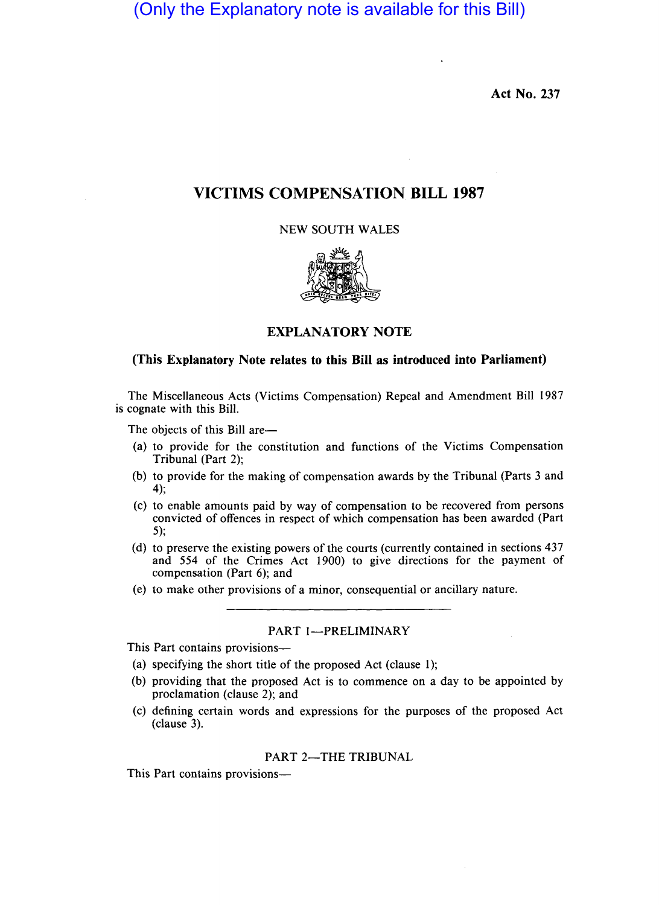(Only the Explanatory note is available for this Bill)

Act No. 237

# VICTIMS COMPENSATION BILL 1987

NEW SOUTH WALES



# EXPLANATORY NOTE

# (This Explanatory Note relates to this Bill as introduced into Parliament)

The Miscellaneous Acts (Victims Compensation) Repeal and Amendment Bill 1987 is cognate with this Bill.

The objects of this Bill are-

- (a) to provide for the constitution and functions of the Victims Compensation Tribunal (Part 2);
- (b) to provide for the making of compensation awards by the Tribunal (Parts 3 and 4);
- (c) to enable amounts paid by way of compensation to be recovered from persons convicted of offences in respect of which compensation has been awarded (Part 5);
- (d) to preserve the existing powers of the courts (currently contained in sections 437 and 554 of the Crimes Act 1900) to give directions for the payment of compensation (Part 6); and
- (e) to make other provisions of a minor, consequential or ancillary nature.

# PART 1-PRELIMINARY

This Part contains provisions-

- (a) specifying the short title of the proposed Act (clause I);
- (b) providing that the proposed Act is to commence on a day to be appointed by proclamation (clause 2); and
- (c) defining certain words and expressions for the purposes of the proposed Act (clause 3).

# PART 2-THE TRIBUNAL

This Part contains provisions-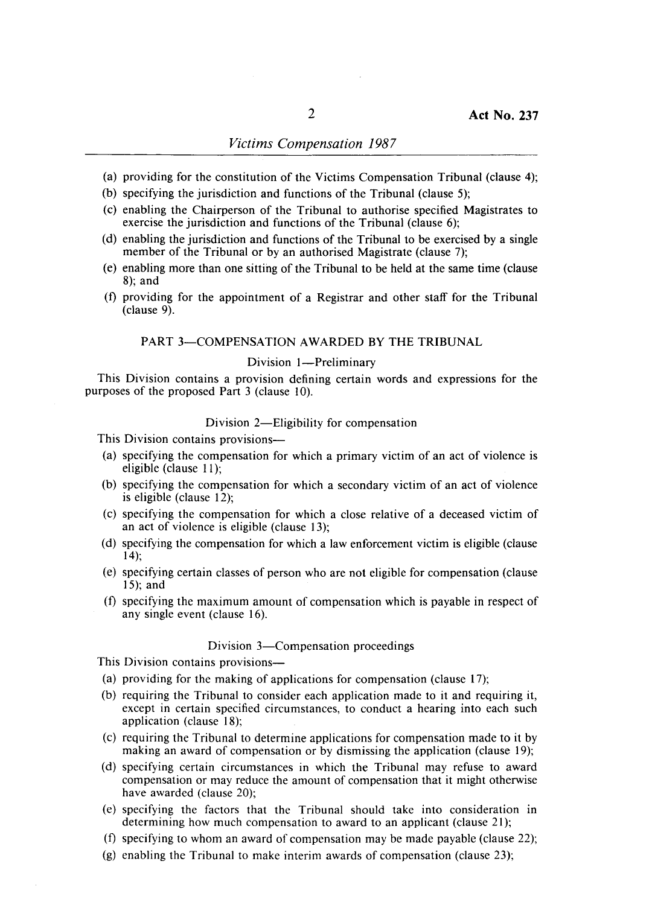# *Victims Compensation 1987*

- (a) providing for the constitution of the Victims Compensation Tribunal (clause 4);
- (b) specifying the jurisdiction and functions of the Tribunal (clause 5);
- (c) enabling the Chairperson of the Tribunal to authorise specified Magistrates to exercise the jurisdiction and functions of the Tribunal (clause 6);
- (d) enabling the jurisdiction and functions of the Tribunal to be exercised by a single member of the Tribunal or by an authorised Magistrate (clause 7);
- (e) enabling more than one sitting of the Tribunal to be held at the same time (clause 8); and
- (f) providing for the appointment of a Registrar and other staff for the Tribunal (clause 9).

### PART 3-COMPENSATION AWARDED BY THE TRIBUNAL

#### Division 1-Preliminary

This Division contains a provision defining certain words and expressions for the purposes of the proposed Part 3 (clause 10).

### Division 2-Eligibility for compensation

This Division contains provisions—

- (a) specifying the compensation for which a primary victim of an act of violence is eligible (clause 11);
- (b) specifying the compensation for which a secondary victim of an act of violence is eligible (clause 12);
- (c) specifying the compensation for which a close relative of a deceased victim of an act of violence is eligible (clause 13);
- (d) specifying the compensation for which a law enforcement victim is eligible (clause 14);
- (e) specifying certain classes of person who are not eligible for compensation (clause 15); and
- (f) specifying the maximum amount of compensation which is payable in respect of any single event (clause 16).

### Division 3—Compensation proceedings

This Division contains provisions-

- (a) providing for the making of applications for compensation (clause 17);
- (b) requiring the Tribunal to consider each application made to it and requiring it, except in certain specified circumstances, to conduct a hearing into each such application (clause 18);
- (c) requiring the Tribunal to determine applications for compensation made to it by making an award of compensation or by dismissing the application (clause 19);
- (d) specifying certain circumstances in which the Tribunal may refuse to award compensation or may reduce the amount of compensation that it might otherwise have awarded (clause 20);
- (e) specifying the factors that the Tribunal should take into consideration in determining how much compensation to award to an applicant (clause 21);
- (f) specifying to whom an award of compensation may be made payable (clause 22);
- (g) enabling the Tribunal to make interim awards of compensation (clause 23);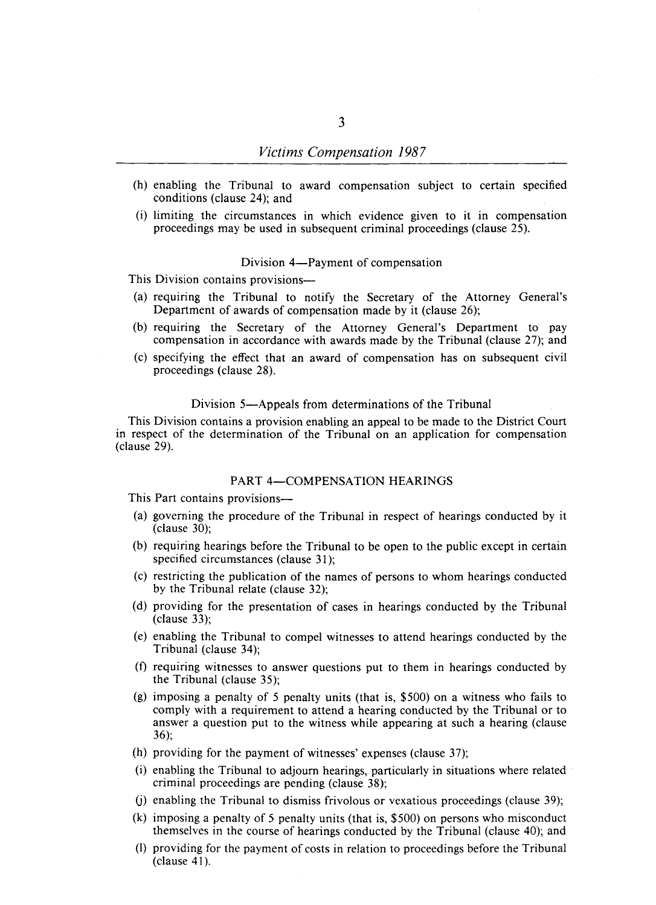- (h) enabling the Tribunal to award compensation subject to certain specified conditions (clause 24); and
- (i) limiting the circumstances in which evidence given to it in compensation proceedings may be used in subsequent criminal proceedings (clause 25).

#### Division 4-Payment of compensation

This Division contains provisions-

- (a) requiring the Tribunal to notify the Secretary of the Attorney General's Department of awards of compensation made by it (clause 26);
- (b) requiring the Secretary of the Attorney General's Department to pay compensation in accordance with awards made by the Tribunal (clause 27); and
- (c) specifying the effect that an award of compensation has on subsequent civil proceedings (clause 28).

#### Division 5-Appeals from determinations of the Tribunal

This Division contains a provision enabling an appeal to be made to the District Court in respect of the determination of the Tribunal on an application for compensation (clause 29).

### PART 4-COMPENSATION HEARINGS

This Part contains provisions-

- (a) governing the procedure of the Tribunal in respect of hearings conducted by it (clause 30);
- (b) requiring hearings before the Tribunal to be open to the public except in certain specified circumstances (clause 31);
- (c) restricting the publication of the names of persons to whom hearings conducted by the Tribunal relate (clause 32);
- (d) providing for the presentation of cases in hearings conducted by the Tribunal (clause 33);
- (e) enabling the Tribunal to compel witnesses to attend hearings conducted by the Tribunal (clause 34);
- (f) requiring witnesses to answer questions put to them in hearings conducted by the Tribunal (clause 35);
- (g) imposing a penalty of 5 penalty units (that is, \$500) on a witness who fails to comply with a requirement to attend a hearing conducted by the Tribunal or to answer a question put to the witness while appearing at such a hearing (clause 36);
- (h) providing for the payment of witnesses' expenses (clause 37);
- (i) enabling the Tribunal to adjourn hearings, particularly in situations where related criminal proceedings are pending (clause 38);
- (j) enabling the Tribunal to dismiss frivolous or vexatious proceedings (clause 39);
- (k) imposing a penalty of 5 penalty units (that is, \$500) on persons who misconduct themselves in the course of hearings conducted by the Tribunal (clause 40); and
- (I) providing for the payment of costs in relation to proceedings before the Tribunal (clause 41).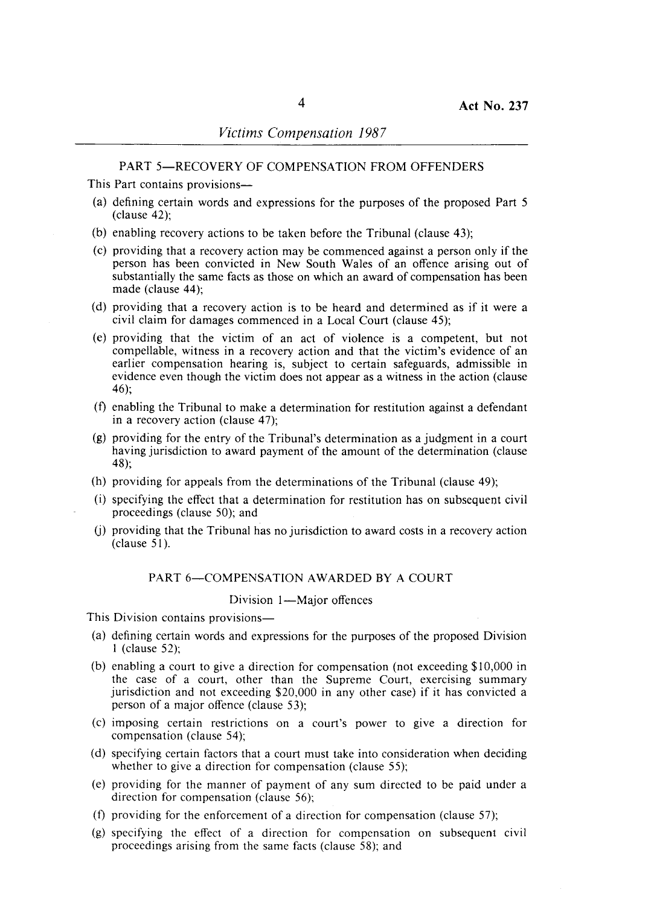### PART 5-RECOVERY OF COMPENSATION FROM OFFENDERS

This Part contains provisions-

- (a) defining certain words and expressions for the purposes of the proposed Part 5 (clause 42);
- (b) enabling recovery actions to be taken before the Tribunal (clause 43);
- (c) providing that a recovery action may be commenced against a person only if the person has been convicted in New South Wales of an offence arising out of substantially the same facts as those on which an award of compensation has been made (clause 44);
- (d) providing that a recovery action is to be heard and determined as if it were a civil claim for damages commenced in a Local Court (clause 45);
- (e) providing that the victim of an act of violence is a competent, but not compellable, witness in a recovery action and that the victim's evidence of an earlier compensation hearing is, subject to certain safeguards, admissible in evidence even though the victim does not appear as a witness in the action (clause 46);
- (f) enabling the Tribunal to make a determination for restitution against a defendant in a recovery action (clause 47);
- (g) providing for the entry of the Tribunal's determination as a judgment in a court having jurisdiction to award payment of the amount of the determination (clause 48);
- (h) providing for appeals from the determinations of the Tribunal (clause 49);
- $(i)$  specifying the effect that a determination for restitution has on subsequent civil proceedings (clause 50); and
- U) providing that the Tribunal has no jurisdiction to award costs in a recovery action (clause 51).

### PART 6-COMPENSATION AWARDED BY A COURT

#### Division 1-Major offences

This Division contains provisions—

- (a) defining certain words and expressions for the purposes of the proposed Division 1 (clause 52);
- (b) enabling a court to give a direction for compensation (not exceeding \$10,000 in the case of a court, other than the Supreme Court, exercising summary jurisdiction and not exceeding \$20,000 in any other case) if it has convicted a person of a major offence (clause 53);
- (c) imposing certain restrictions on a court's power to give a direction for compensation (clause 54);
- (d) specifying certain factors that a court must take into consideration when deciding whether to give a direction for compensation (clause 55);
- (e) providing for the manner of payment of any sum directed to be paid under a direction for compensation (clause 56);
- (f) providing for the enforcement of a direction for compensation (clause 57);
- (g) specifying the effect of a direction for compensation on subsequent civil proceedings arising from the same facts (clause 58); and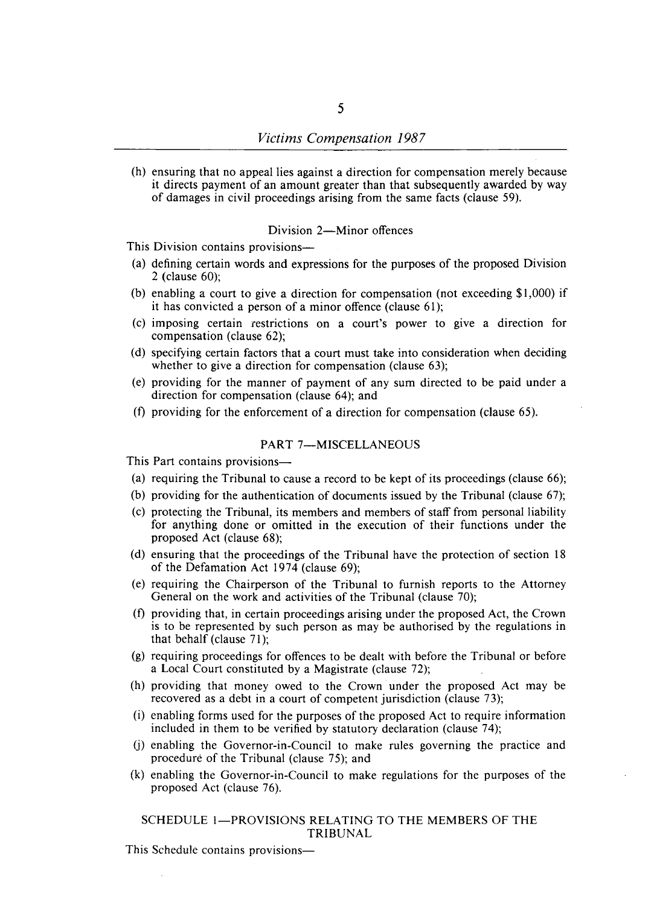(h) ensuring that no appeal lies against a direction for compensation merely because it directs payment of an amount greater than that subsequently awarded by way of damages in civil proceedings arising from the same facts (clause 59).

# Division 2-Minor offences

This Division contains provisions—

- (a) defining certain words and expressions for the purposes of the proposed Division 2 (clause 60);
- (b) enabling a court to give a direction for compensation (not exceeding \$1,000) if it has convicted a person of a minor offence (clause 61);
- (c) imposing certain restrictions on a court's power to give a direction for compensation (clause 62);
- (d) specifying certain factors that a court must take into consideration when deciding whether to give a direction for compensation (clause 63);
- (e) providing for the manner of payment of any sum directed to be paid under a direction for compensation (clause 64); and
- (f) providing for the enforcement of a direction for compensation (clause 65).

# PART 7-MISCELLANEOUS

This Part contains provisions-

- (a) requiring the Tribunal to cause a record to be kept of its proceedings (clause 66);
- (b) providing for the authentication of documents issued by the Tribunal (clause 67);
- (c) protecting the Tribunal, its members and members of staff from personal liability for anything done or omitted in the execution of their functions under the proposed Act (clause 68);
- (d) ensuring that the proceedings of the Tribunal have the protection of section 18 of the Defamation Act 1974 (clause 69);
- (e) requiring the Chairperson of the Tribunal to furnish reports to the Attorney General on the work and activities of the Tribunal (clause 70);
- (f) providing that, in certain proceedings arising under the proposed Act, the Crown is to be represented by such person as may be authorised by the regulations in that behalf (clause 71);
- (g) requiring proceedings for offences to be dealt with before the Tribunal or before a Local Court constituted by a Magistrate (clause 72);
- (h) providing that money owed to the Crown under the proposed Act may be recovered as a debt in a court of competent jurisdiction (clause 73);
- (i) enabling forms used for the purposes of the proposed Act to require information included in them to be verified by statutory declaration (clause 74);
- (j) enabling the Governor-in-Council to make rules governing the practice and procedure of the Tribunal (clause 75); and
- (k) enabling the Governor-in-Council to make regulations for the purposes of the proposed Act (clause 76).

SCHEDULE 1-PROVISIONS RELATING TO THE MEMBERS OF THE TRIBUNAL

This Schedule contains provisions—